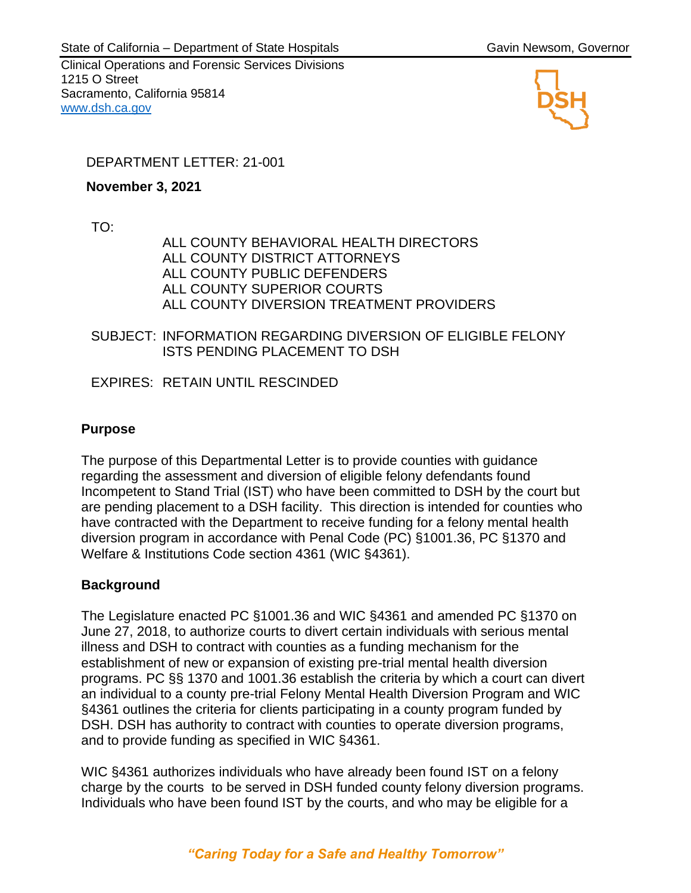Clinical Operations and Forensic Services Divisions 1215 O Street Sacramento, California 95814 [www.dsh.ca.gov](http://www.dsh.ca.gov/)



# DEPARTMENT LETTER: 21-001

**November 3, 2021**

TO:

ALL COUNTY BEHAVIORAL HEALTH DIRECTORS ALL COUNTY DISTRICT ATTORNEYS ALL COUNTY PUBLIC DEFENDERS ALL COUNTY SUPERIOR COURTS ALL COUNTY DIVERSION TREATMENT PROVIDERS

SUBJECT: INFORMATION REGARDING DIVERSION OF ELIGIBLE FELONY ISTS PENDING PLACEMENT TO DSH

EXPIRES: RETAIN UNTIL RESCINDED

## **Purpose**

The purpose of this Departmental Letter is to provide counties with guidance regarding the assessment and diversion of eligible felony defendants found Incompetent to Stand Trial (IST) who have been committed to DSH by the court but are pending placement to a DSH facility. This direction is intended for counties who have contracted with the Department to receive funding for a felony mental health diversion program in accordance with Penal Code (PC) §1001.36, PC §1370 and Welfare & Institutions Code section 4361 (WIC §4361).

# **Background**

The Legislature enacted PC §1001.36 and WIC §4361 and amended PC §1370 on June 27, 2018, to authorize courts to divert certain individuals with serious mental illness and DSH to contract with counties as a funding mechanism for the establishment of new or expansion of existing pre-trial mental health diversion programs. PC §§ 1370 and 1001.36 establish the criteria by which a court can divert an individual to a county pre-trial Felony Mental Health Diversion Program and WIC §4361 outlines the criteria for clients participating in a county program funded by DSH. DSH has authority to contract with counties to operate diversion programs, and to provide funding as specified in WIC §4361.

WIC §4361 authorizes individuals who have already been found IST on a felony charge by the courts to be served in DSH funded county felony diversion programs. Individuals who have been found IST by the courts, and who may be eligible for a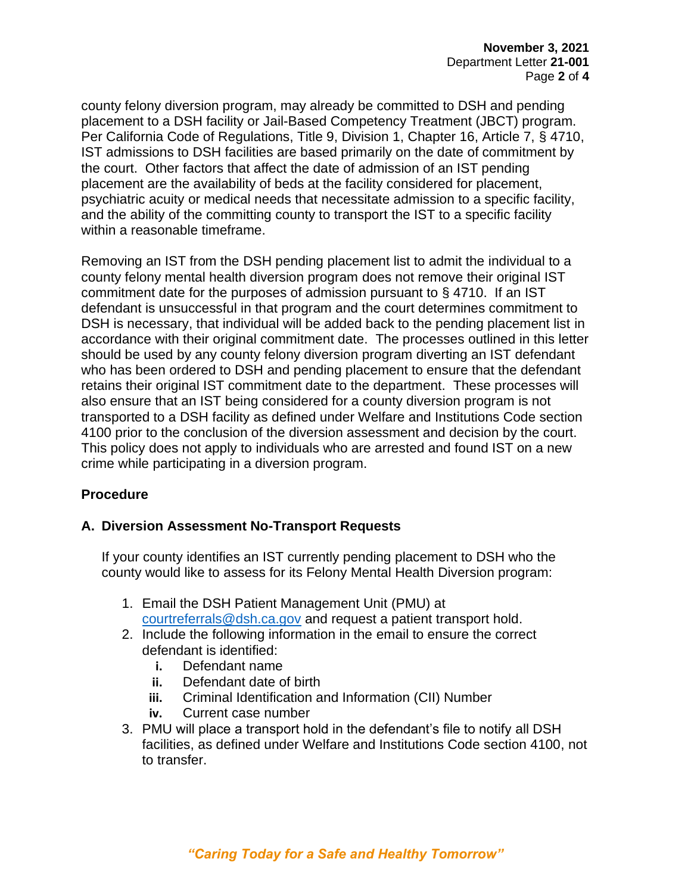county felony diversion program, may already be committed to DSH and pending placement to a DSH facility or Jail-Based Competency Treatment (JBCT) program. Per California Code of Regulations, Title 9, Division 1, Chapter 16, Article 7, § 4710, IST admissions to DSH facilities are based primarily on the date of commitment by the court. Other factors that affect the date of admission of an IST pending placement are the availability of beds at the facility considered for placement, psychiatric acuity or medical needs that necessitate admission to a specific facility, and the ability of the committing county to transport the IST to a specific facility within a reasonable timeframe.

Removing an IST from the DSH pending placement list to admit the individual to a county felony mental health diversion program does not remove their original IST commitment date for the purposes of admission pursuant to § 4710. If an IST defendant is unsuccessful in that program and the court determines commitment to DSH is necessary, that individual will be added back to the pending placement list in accordance with their original commitment date. The processes outlined in this letter should be used by any county felony diversion program diverting an IST defendant who has been ordered to DSH and pending placement to ensure that the defendant retains their original IST commitment date to the department. These processes will also ensure that an IST being considered for a county diversion program is not transported to a DSH facility as defined under Welfare and Institutions Code section 4100 prior to the conclusion of the diversion assessment and decision by the court. This policy does not apply to individuals who are arrested and found IST on a new crime while participating in a diversion program.

# **Procedure**

## **A. Diversion Assessment No-Transport Requests**

If your county identifies an IST currently pending placement to DSH who the county would like to assess for its Felony Mental Health Diversion program:

- 1. Email the DSH Patient Management Unit (PMU) at [courtreferrals@dsh.ca.gov](mailto:courtreferrals@dsh.ca.gov) and request a patient transport hold.
- 2. Include the following information in the email to ensure the correct defendant is identified:
	- **i.** Defendant name
	- **ii.** Defendant date of birth
	- **iii.** Criminal Identification and Information (CII) Number
	- **iv.** Current case number
- 3. PMU will place a transport hold in the defendant's file to notify all DSH facilities, as defined under Welfare and Institutions Code section 4100, not to transfer.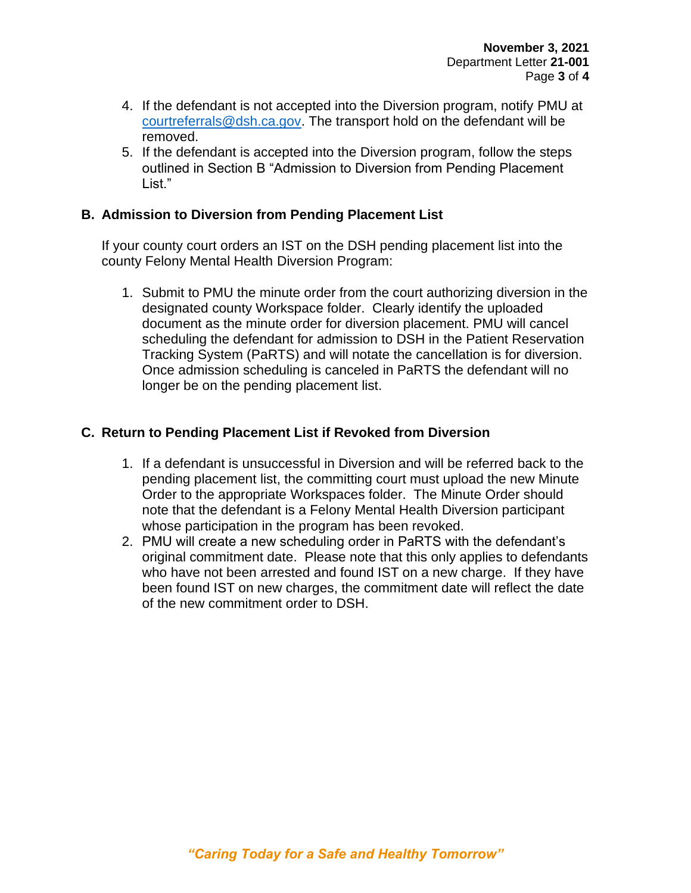- 4. If the defendant is not accepted into the Diversion program, notify PMU at [courtreferrals@dsh.ca.gov.](mailto:courtreferrals@dsh.ca.gov) The transport hold on the defendant will be removed.
- 5. If the defendant is accepted into the Diversion program, follow the steps outlined in Section B "Admission to Diversion from Pending Placement List."

#### **B. Admission to Diversion from Pending Placement List**

If your county court orders an IST on the DSH pending placement list into the county Felony Mental Health Diversion Program:

1. Submit to PMU the minute order from the court authorizing diversion in the designated county Workspace folder. Clearly identify the uploaded document as the minute order for diversion placement. PMU will cancel scheduling the defendant for admission to DSH in the Patient Reservation Tracking System (PaRTS) and will notate the cancellation is for diversion. Once admission scheduling is canceled in PaRTS the defendant will no longer be on the pending placement list.

## **C. Return to Pending Placement List if Revoked from Diversion**

- 1. If a defendant is unsuccessful in Diversion and will be referred back to the pending placement list, the committing court must upload the new Minute Order to the appropriate Workspaces folder. The Minute Order should note that the defendant is a Felony Mental Health Diversion participant whose participation in the program has been revoked.
- 2. PMU will create a new scheduling order in PaRTS with the defendant's original commitment date. Please note that this only applies to defendants who have not been arrested and found IST on a new charge. If they have been found IST on new charges, the commitment date will reflect the date of the new commitment order to DSH.